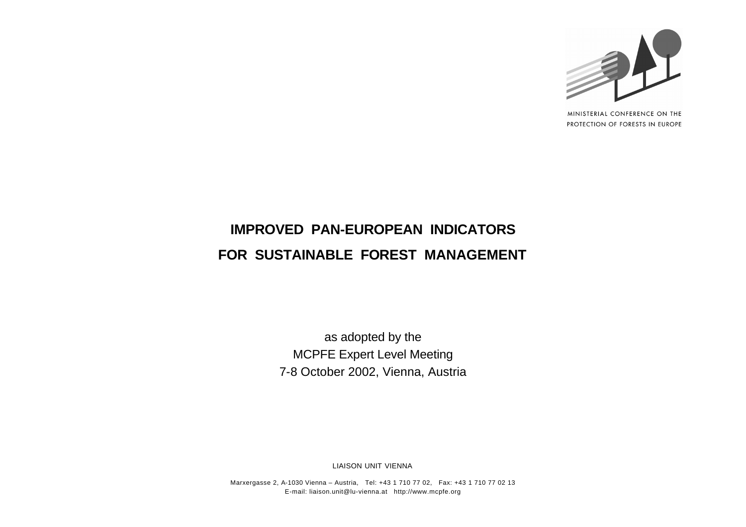

MINISTERIAL CONFERENCE ON THE PROTECTION OF FORESTS IN EUROPE

# **IMPROVED PAN-EUROPEAN INDICATORS FOR SUSTAINABLE FOREST MANAGEMENT**

as adopted by the MCPFE Expert Level Meeting 7-8 October 2002, Vienna, Austria

LIAISON UNIT VIENNA

Marxergasse 2, A-1030 Vienna – Austria, Tel: +43 1 710 77 02, Fax: +43 1 710 77 02 13 E-mail: liaison.unit@lu-vienna.at http://www.mcpfe.org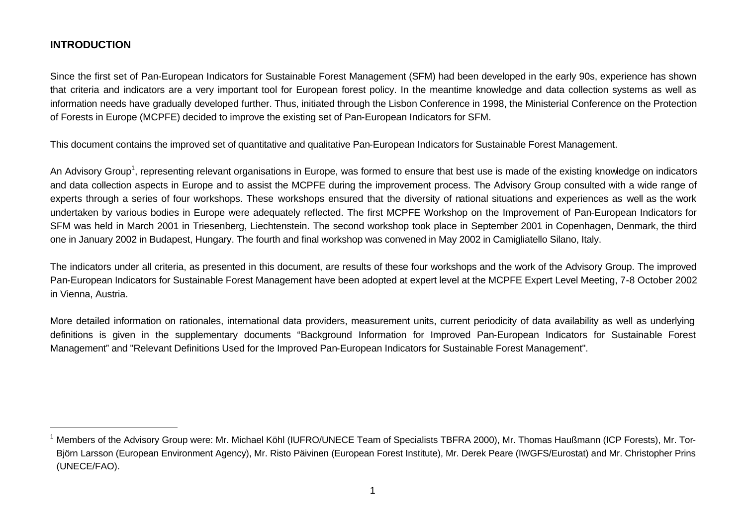#### **INTRODUCTION**

Since the first set of Pan-European Indicators for Sustainable Forest Management (SFM) had been developed in the early 90s, experience has shown that criteria and indicators are a very important tool for European forest policy. In the meantime knowledge and data collection systems as well as information needs have gradually developed further. Thus, initiated through the Lisbon Conference in 1998, the Ministerial Conference on the Protection of Forests in Europe (MCPFE) decided to improve the existing set of Pan-European Indicators for SFM.

This document contains the improved set of quantitative and qualitative Pan-European Indicators for Sustainable Forest Management.

An Advisory Group<sup>1</sup>, representing relevant organisations in Europe, was formed to ensure that best use is made of the existing knowledge on indicators and data collection aspects in Europe and to assist the MCPFE during the improvement process. The Advisory Group consulted with a wide range of experts through a series of four workshops. These workshops ensured that the diversity of national situations and experiences as well as the work undertaken by various bodies in Europe were adequately reflected. The first MCPFE Workshop on the Improvement of Pan-European Indicators for SFM was held in March 2001 in Triesenberg, Liechtenstein. The second workshop took place in September 2001 in Copenhagen, Denmark, the third one in January 2002 in Budapest, Hungary. The fourth and final workshop was convened in May 2002 in Camigliatello Silano, Italy.

The indicators under all criteria, as presented in this document, are results of these four workshops and the work of the Advisory Group. The improved Pan-European Indicators for Sustainable Forest Management have been adopted at expert level at the MCPFE Expert Level Meeting, 7-8 October 2002 in Vienna, Austria.

More detailed information on rationales, international data providers, measurement units, current periodicity of data availability as well as underlying definitions is given in the supplementary documents "Background Information for Improved Pan-European Indicators for Sustainable Forest Management" and "Relevant Definitions Used for the Improved Pan-European Indicators for Sustainable Forest Management".

<sup>&</sup>lt;sup>1</sup> Members of the Advisory Group were: Mr. Michael Köhl (IUFRO/UNECE Team of Specialists TBFRA 2000), Mr. Thomas Haußmann (ICP Forests), Mr. Tor-Björn Larsson (European Environment Agency), Mr. Risto Päivinen (European Forest Institute), Mr. Derek Peare (IWGFS/Eurostat) and Mr. Christopher Prins (UNECE/FAO).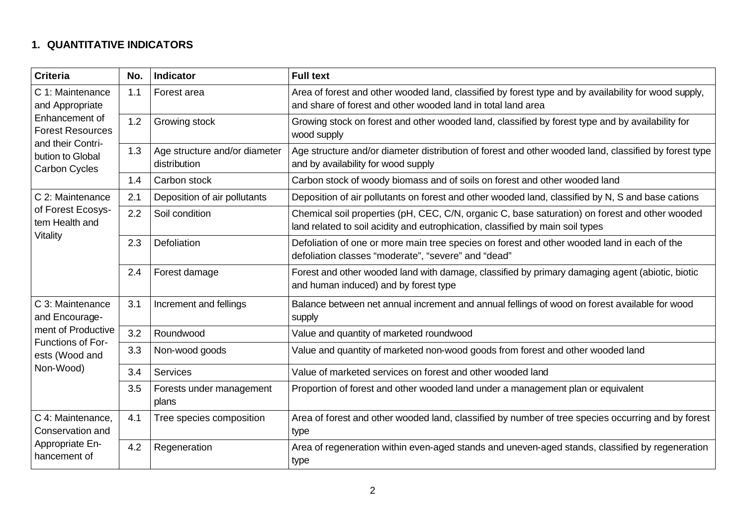# **1. QUANTITATIVE INDICATORS**

| <b>Criteria</b>                                                                                                                                   | No. | <b>Indicator</b>                                                                                                                                          | <b>Full text</b>                                                                                                                                                                 |  |  |
|---------------------------------------------------------------------------------------------------------------------------------------------------|-----|-----------------------------------------------------------------------------------------------------------------------------------------------------------|----------------------------------------------------------------------------------------------------------------------------------------------------------------------------------|--|--|
| C 1: Maintenance<br>and Appropriate<br>Enhancement of<br><b>Forest Resources</b><br>and their Contri-<br>bution to Global<br><b>Carbon Cycles</b> | 1.1 | Forest area                                                                                                                                               | Area of forest and other wooded land, classified by forest type and by availability for wood supply,<br>and share of forest and other wooded land in total land area             |  |  |
|                                                                                                                                                   | 1.2 | Growing stock                                                                                                                                             | Growing stock on forest and other wooded land, classified by forest type and by availability for<br>wood supply                                                                  |  |  |
|                                                                                                                                                   | 1.3 | Age structure and/or diameter<br>distribution                                                                                                             | Age structure and/or diameter distribution of forest and other wooded land, classified by forest type<br>and by availability for wood supply                                     |  |  |
|                                                                                                                                                   | 1.4 | Carbon stock                                                                                                                                              | Carbon stock of woody biomass and of soils on forest and other wooded land                                                                                                       |  |  |
| C 2: Maintenance                                                                                                                                  | 2.1 | Deposition of air pollutants                                                                                                                              | Deposition of air pollutants on forest and other wooded land, classified by N, S and base cations                                                                                |  |  |
| of Forest Ecosys-<br>tem Health and<br>Vitality                                                                                                   | 2.2 | Soil condition                                                                                                                                            | Chemical soil properties (pH, CEC, C/N, organic C, base saturation) on forest and other wooded<br>land related to soil acidity and eutrophication, classified by main soil types |  |  |
|                                                                                                                                                   | 2.3 | Defoliation                                                                                                                                               | Defoliation of one or more main tree species on forest and other wooded land in each of the<br>defoliation classes "moderate", "severe" and "dead"                               |  |  |
|                                                                                                                                                   | 2.4 | Forest damage<br>Forest and other wooded land with damage, classified by primary damaging agent (abiotic, biotic<br>and human induced) and by forest type |                                                                                                                                                                                  |  |  |
| C 3: Maintenance<br>and Encourage-                                                                                                                | 3.1 | Increment and fellings                                                                                                                                    | Balance between net annual increment and annual fellings of wood on forest available for wood<br>supply                                                                          |  |  |
| ment of Productive                                                                                                                                | 3.2 | Roundwood                                                                                                                                                 | Value and quantity of marketed roundwood                                                                                                                                         |  |  |
| <b>Functions of For-</b><br>ests (Wood and<br>Non-Wood)                                                                                           | 3.3 | Non-wood goods                                                                                                                                            | Value and quantity of marketed non-wood goods from forest and other wooded land                                                                                                  |  |  |
|                                                                                                                                                   | 3.4 | Services                                                                                                                                                  | Value of marketed services on forest and other wooded land                                                                                                                       |  |  |
|                                                                                                                                                   | 3.5 | Forests under management<br>plans                                                                                                                         | Proportion of forest and other wooded land under a management plan or equivalent                                                                                                 |  |  |
| C 4: Maintenance,<br>Conservation and<br>Appropriate En-<br>hancement of                                                                          | 4.1 | Tree species composition                                                                                                                                  | Area of forest and other wooded land, classified by number of tree species occurring and by forest<br>type                                                                       |  |  |
|                                                                                                                                                   | 4.2 | Regeneration                                                                                                                                              | Area of regeneration within even-aged stands and uneven-aged stands, classified by regeneration<br>type                                                                          |  |  |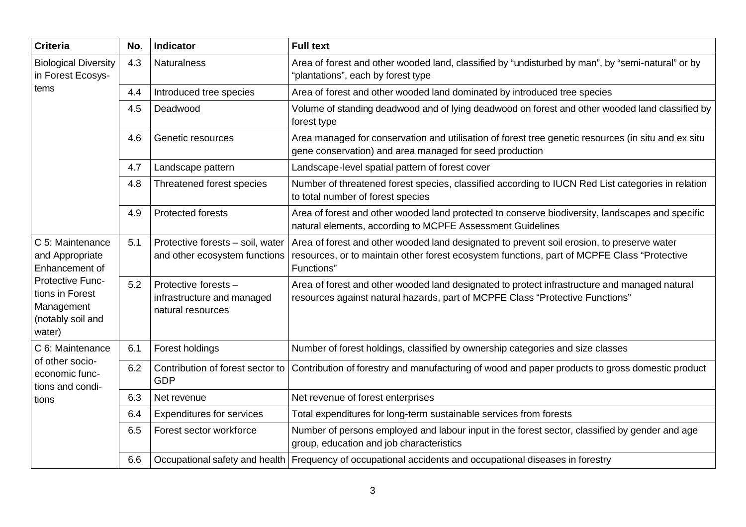| <b>Criteria</b>                                                                                                                                  | No. | <b>Indicator</b>                                                                                                                                                    | <b>Full text</b>                                                                                                                                                                                        |  |  |
|--------------------------------------------------------------------------------------------------------------------------------------------------|-----|---------------------------------------------------------------------------------------------------------------------------------------------------------------------|---------------------------------------------------------------------------------------------------------------------------------------------------------------------------------------------------------|--|--|
| <b>Biological Diversity</b><br>in Forest Ecosys-<br>tems                                                                                         | 4.3 | <b>Naturalness</b>                                                                                                                                                  | Area of forest and other wooded land, classified by "undisturbed by man", by "semi-natural" or by<br>"plantations", each by forest type                                                                 |  |  |
|                                                                                                                                                  | 4.4 | Introduced tree species                                                                                                                                             | Area of forest and other wooded land dominated by introduced tree species                                                                                                                               |  |  |
|                                                                                                                                                  | 4.5 | Deadwood                                                                                                                                                            | Volume of standing deadwood and of lying deadwood on forest and other wooded land classified by<br>forest type                                                                                          |  |  |
|                                                                                                                                                  | 4.6 | Genetic resources                                                                                                                                                   | Area managed for conservation and utilisation of forest tree genetic resources (in situ and ex situ<br>gene conservation) and area managed for seed production                                          |  |  |
|                                                                                                                                                  | 4.7 | Landscape pattern                                                                                                                                                   | Landscape-level spatial pattern of forest cover                                                                                                                                                         |  |  |
|                                                                                                                                                  | 4.8 | Threatened forest species<br>Number of threatened forest species, classified according to IUCN Red List categories in relation<br>to total number of forest species |                                                                                                                                                                                                         |  |  |
|                                                                                                                                                  | 4.9 | <b>Protected forests</b>                                                                                                                                            | Area of forest and other wooded land protected to conserve biodiversity, landscapes and specific<br>natural elements, according to MCPFE Assessment Guidelines                                          |  |  |
| C 5: Maintenance<br>and Appropriate<br>Enhancement of<br><b>Protective Func-</b><br>tions in Forest<br>Management<br>(notably soil and<br>water) | 5.1 | Protective forests - soil, water<br>and other ecosystem functions                                                                                                   | Area of forest and other wooded land designated to prevent soil erosion, to preserve water<br>resources, or to maintain other forest ecosystem functions, part of MCPFE Class "Protective<br>Functions" |  |  |
|                                                                                                                                                  | 5.2 | Protective forests -<br>infrastructure and managed<br>natural resources                                                                                             | Area of forest and other wooded land designated to protect infrastructure and managed natural<br>resources against natural hazards, part of MCPFE Class "Protective Functions"                          |  |  |
| C 6: Maintenance                                                                                                                                 | 6.1 | Forest holdings                                                                                                                                                     | Number of forest holdings, classified by ownership categories and size classes                                                                                                                          |  |  |
| of other socio-<br>economic func-<br>tions and condi-<br>tions                                                                                   | 6.2 | Contribution of forest sector to<br><b>GDP</b>                                                                                                                      | Contribution of forestry and manufacturing of wood and paper products to gross domestic product                                                                                                         |  |  |
|                                                                                                                                                  | 6.3 | Net revenue                                                                                                                                                         | Net revenue of forest enterprises                                                                                                                                                                       |  |  |
|                                                                                                                                                  | 6.4 | <b>Expenditures for services</b>                                                                                                                                    | Total expenditures for long-term sustainable services from forests                                                                                                                                      |  |  |
|                                                                                                                                                  | 6.5 | Forest sector workforce                                                                                                                                             | Number of persons employed and labour input in the forest sector, classified by gender and age<br>group, education and job characteristics                                                              |  |  |
|                                                                                                                                                  | 6.6 |                                                                                                                                                                     | Occupational safety and health   Frequency of occupational accidents and occupational diseases in forestry                                                                                              |  |  |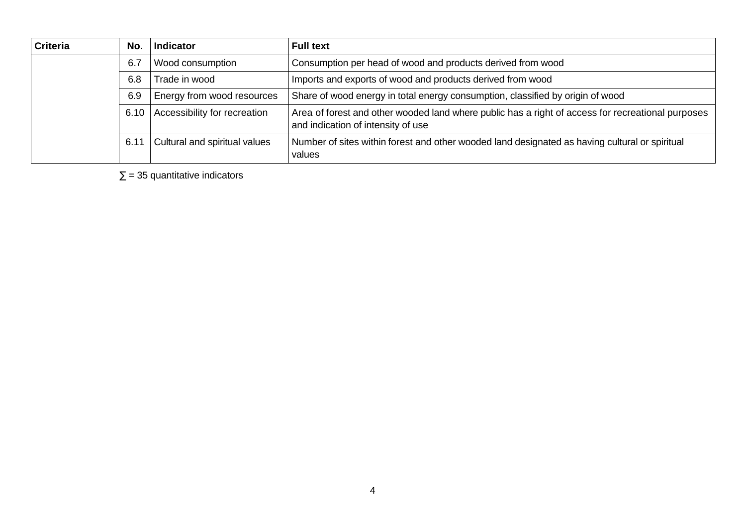| <b>Criteria</b> | No.  | <b>Indicator</b>              | <b>Full text</b>                                                                                                                        |
|-----------------|------|-------------------------------|-----------------------------------------------------------------------------------------------------------------------------------------|
|                 | 6.7  | Wood consumption              | Consumption per head of wood and products derived from wood                                                                             |
|                 | 6.8  | Trade in wood                 | Imports and exports of wood and products derived from wood                                                                              |
|                 | 6.9  | Energy from wood resources    | Share of wood energy in total energy consumption, classified by origin of wood                                                          |
|                 | 6.10 | Accessibility for recreation  | Area of forest and other wooded land where public has a right of access for recreational purposes<br>and indication of intensity of use |
|                 | 6.11 | Cultural and spiritual values | Number of sites within forest and other wooded land designated as having cultural or spiritual<br>values                                |

 $\Sigma$  = 35 quantitative indicators